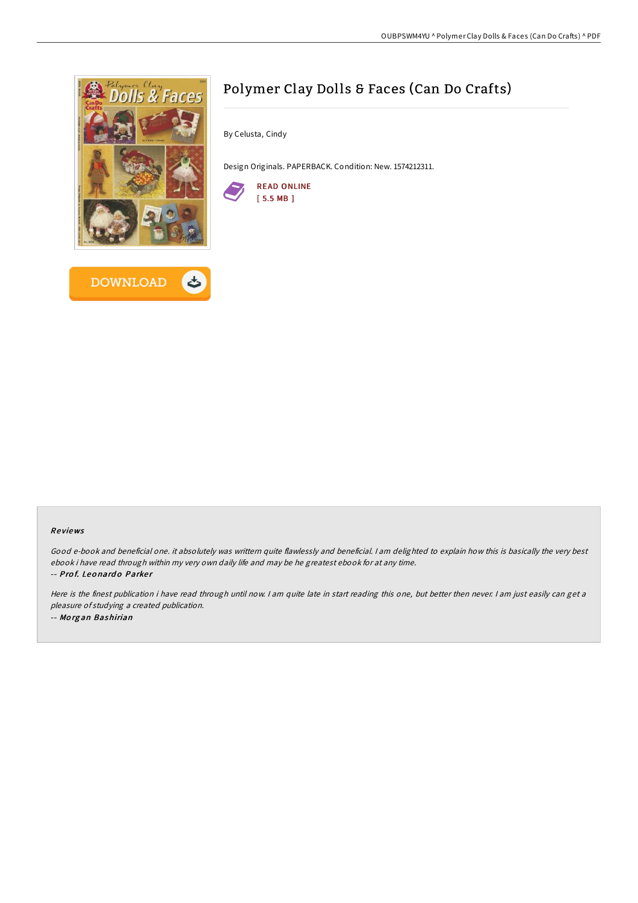

# Polymer Clay Dolls & Faces (Can Do Crafts)

By Celusta, Cindy

Design Originals. PAPERBACK. Condition: New. 1574212311.



## Re views

Good e-book and beneficial one. it absolutely was writtern quite flawlessly and beneficial. <sup>I</sup> am delighted to explain how this is basically the very best ebook i have read through within my very own daily life and may be he greatest ebook for at any time. -- Prof. Leonardo Parker

Here is the finest publication i have read through until now. <sup>I</sup> am quite late in start reading this one, but better then never. <sup>I</sup> am just easily can get <sup>a</sup> pleasure of studying <sup>a</sup> created publication. -- Mo rg an Bashirian